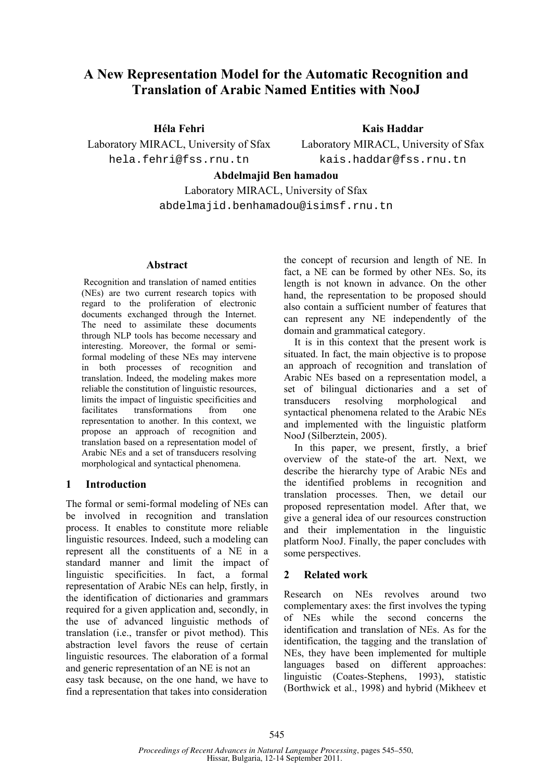# **A New Representation Model for the Automatic Recognition and Translation of Arabic Named Entities with NooJ**

**Héla Fehri**  Laboratory MIRACL, University of Sfax hela.fehri@fss.rnu.tn

**Kais Haddar** 

Laboratory MIRACL, University of Sfax kais.haddar@fss.rnu.tn

# **Abdelmajid Ben hamadou**

Laboratory MIRACL, University of Sfax abdelmajid.benhamadou@isimsf.rnu.tn

#### **Abstract**

Recognition and translation of named entities (NEs) are two current research topics with regard to the proliferation of electronic documents exchanged through the Internet. The need to assimilate these documents through NLP tools has become necessary and interesting. Moreover, the formal or semiformal modeling of these NEs may intervene in both processes of recognition and translation. Indeed, the modeling makes more reliable the constitution of linguistic resources, limits the impact of linguistic specificities and facilitates transformations from one representation to another. In this context, we propose an approach of recognition and translation based on a representation model of Arabic NEs and a set of transducers resolving morphological and syntactical phenomena.

## **1 Introduction**

The formal or semi-formal modeling of NEs can be involved in recognition and translation process. It enables to constitute more reliable linguistic resources. Indeed, such a modeling can represent all the constituents of a NE in a standard manner and limit the impact of linguistic specificities. In fact, a formal representation of Arabic NEs can help, firstly, in the identification of dictionaries and grammars required for a given application and, secondly, in the use of advanced linguistic methods of translation (i.e., transfer or pivot method). This abstraction level favors the reuse of certain linguistic resources. The elaboration of a formal and generic representation of an NE is not an easy task because, on the one hand, we have to find a representation that takes into consideration

the concept of recursion and length of NE. In fact, a NE can be formed by other NEs. So, its length is not known in advance. On the other hand, the representation to be proposed should also contain a sufficient number of features that can represent any NE independently of the domain and grammatical category.

It is in this context that the present work is situated. In fact, the main objective is to propose an approach of recognition and translation of Arabic NEs based on a representation model, a set of bilingual dictionaries and a set of transducers resolving morphological and syntactical phenomena related to the Arabic NEs and implemented with the linguistic platform NooJ (Silberztein, 2005).

In this paper, we present, firstly, a brief overview of the state-of the art. Next, we describe the hierarchy type of Arabic NEs and the identified problems in recognition and translation processes. Then, we detail our proposed representation model. After that, we give a general idea of our resources construction and their implementation in the linguistic platform NooJ. Finally, the paper concludes with some perspectives.

# **2 Related work**

Research on NEs revolves around two complementary axes: the first involves the typing of NEs while the second concerns the identification and translation of NEs. As for the identification, the tagging and the translation of NEs, they have been implemented for multiple languages based on different approaches: linguistic (Coates-Stephens, 1993), statistic (Borthwick et al., 1998) and hybrid (Mikheev et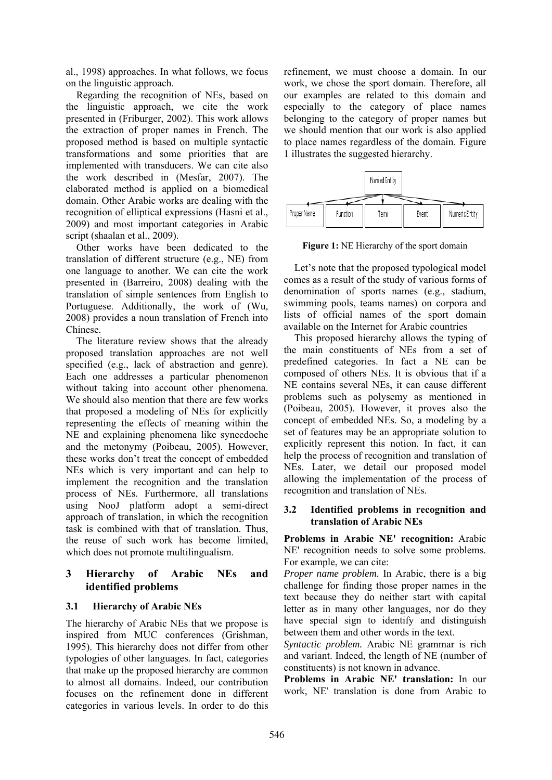al., 1998) approaches. In what follows, we focus on the linguistic approach.

Regarding the recognition of NEs, based on the linguistic approach, we cite the work presented in (Friburger, 2002). This work allows the extraction of proper names in French. The proposed method is based on multiple syntactic transformations and some priorities that are implemented with transducers. We can cite also the work described in (Mesfar, 2007). The elaborated method is applied on a biomedical domain. Other Arabic works are dealing with the recognition of elliptical expressions (Hasni et al., 2009) and most important categories in Arabic script (shaalan et al., 2009).

Other works have been dedicated to the translation of different structure (e.g., NE) from one language to another. We can cite the work presented in (Barreiro, 2008) dealing with the translation of simple sentences from English to Portuguese. Additionally, the work of (Wu, 2008) provides a noun translation of French into Chinese.

The literature review shows that the already proposed translation approaches are not well specified (e.g., lack of abstraction and genre). Each one addresses a particular phenomenon without taking into account other phenomena. We should also mention that there are few works that proposed a modeling of NEs for explicitly representing the effects of meaning within the NE and explaining phenomena like synecdoche and the metonymy (Poibeau, 2005). However, these works don't treat the concept of embedded NEs which is very important and can help to implement the recognition and the translation process of NEs. Furthermore, all translations using NooJ platform adopt a semi-direct approach of translation, in which the recognition task is combined with that of translation. Thus, the reuse of such work has become limited, which does not promote multilingualism.

# **3 Hierarchy of Arabic NEs and identified problems**

## **3.1 Hierarchy of Arabic NEs**

The hierarchy of Arabic NEs that we propose is inspired from MUC conferences (Grishman, 1995). This hierarchy does not differ from other typologies of other languages. In fact, categories that make up the proposed hierarchy are common to almost all domains. Indeed, our contribution focuses on the refinement done in different categories in various levels. In order to do this refinement, we must choose a domain. In our work, we chose the sport domain. Therefore, all our examples are related to this domain and especially to the category of place names belonging to the category of proper names but we should mention that our work is also applied to place names regardless of the domain. Figure 1 illustrates the suggested hierarchy.



**Figure 1:** NE Hierarchy of the sport domain

Let's note that the proposed typological model comes as a result of the study of various forms of denomination of sports names (e.g., stadium, swimming pools, teams names) on corpora and lists of official names of the sport domain available on the Internet for Arabic countries

This proposed hierarchy allows the typing of the main constituents of NEs from a set of predefined categories. In fact a NE can be composed of others NEs. It is obvious that if a NE contains several NEs, it can cause different problems such as polysemy as mentioned in (Poibeau, 2005). However, it proves also the concept of embedded NEs. So, a modeling by a set of features may be an appropriate solution to explicitly represent this notion. In fact, it can help the process of recognition and translation of NEs. Later, we detail our proposed model allowing the implementation of the process of recognition and translation of NEs.

#### **3.2 Identified problems in recognition and translation of Arabic NEs**

**Problems in Arabic NE' recognition:** Arabic NE' recognition needs to solve some problems. For example, we can cite:

*Proper name problem.* In Arabic, there is a big challenge for finding those proper names in the text because they do neither start with capital letter as in many other languages, nor do they have special sign to identify and distinguish between them and other words in the text.

*Syntactic problem.* Arabic NE grammar is rich and variant. Indeed, the length of NE (number of constituents) is not known in advance.

**Problems in Arabic NE' translation:** In our work, NE' translation is done from Arabic to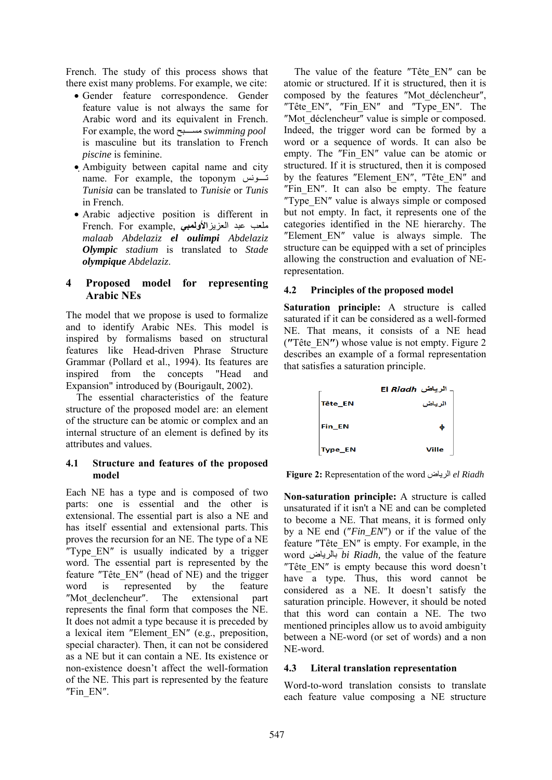French. The study of this process shows that there exist many problems. For example, we cite:

- Gender feature correspondence. Gender feature value is not always the same for Arabic word and its equivalent in French. For example, the word بحѧѧѧѧѧѧمس *swimming pool* is masculine but its translation to French *piscine* is feminine.
- Ambiguity between capital name and city name. For example, the toponym تسونس *Tunisia* can be translated to *Tunisie* or *Tunis*  in French.
- Arabic adjective position is different in ملعب عبد العزيز**الأولمبي** ,example For .French *malaab Abdelaziz el oulimpi Abdelaziz Olympic stadium* is translated to *Stade olympique Abdelaziz*.

## **4 Proposed model for representing Arabic NEs**

The model that we propose is used to formalize and to identify Arabic NEs. This model is inspired by formalisms based on structural features like Head-driven Phrase Structure Grammar (Pollard et al., 1994). Its features are inspired from the concepts "Head and Expansion" introduced by (Bourigault, 2002).

The essential characteristics of the feature structure of the proposed model are: an element of the structure can be atomic or complex and an internal structure of an element is defined by its attributes and values.

## **4.1 Structure and features of the proposed model**

Each NE has a type and is composed of two parts: one is essential and the other is extensional. The essential part is also a NE and has itself essential and extensional parts. This proves the recursion for an NE. The type of a NE ″Type\_EN″ is usually indicated by a trigger word. The essential part is represented by the feature ″Tête\_EN″ (head of NE) and the trigger word is represented by the feature ″Mot\_declencheur″. The extensional part represents the final form that composes the NE. It does not admit a type because it is preceded by a lexical item ″Element\_EN″ (e.g., preposition, special character). Then, it can not be considered as a NE but it can contain a NE. Its existence or non-existence doesn't affect the well-formation of the NE. This part is represented by the feature ″Fin\_EN″.

The value of the feature "Tête EN" can be atomic or structured. If it is structured, then it is composed by the features ″Mot\_déclencheur″, "Tête EN", "Fin EN" and "Type EN". The ″Mot\_déclencheur″ value is simple or composed. Indeed, the trigger word can be formed by a word or a sequence of words. It can also be empty. The "Fin EN" value can be atomic or structured. If it is structured, then it is composed by the features "Element EN", "Tête EN" and "Fin EN". It can also be empty. The feature ″Type\_EN″ value is always simple or composed but not empty. In fact, it represents one of the categories identified in the NE hierarchy. The ″Element\_EN″ value is always simple. The structure can be equipped with a set of principles allowing the construction and evaluation of NErepresentation.

# **4.2 Principles of the proposed model**

**Saturation principle:** A structure is called saturated if it can be considered as a well-formed NE. That means, it consists of a NE head (**″**Tête\_EN**″**) whose value is not empty. Figure 2 describes an example of a formal representation that satisfies a saturation principle.

|         | الرياض El <i>Riadh</i> |
|---------|------------------------|
| Tête_EN | الرياض                 |
| Fin EN  | Φ                      |
| Type_EN | Ville                  |

**Figure 2:** Representation of the word الرياض *el Riadh* 

**Non-saturation principle:** A structure is called unsaturated if it isn't a NE and can be completed to become a NE. That means, it is formed only by a NE end (″*Fin\_EN*″) or if the value of the feature ″Tête\_EN″ is empty. For example, in the word بالرياض *bi Riadh,* the value of the feature ″Tête\_EN″ is empty because this word doesn't have a type. Thus, this word cannot be considered as a NE. It doesn't satisfy the saturation principle. However, it should be noted that this word can contain a NE. The two mentioned principles allow us to avoid ambiguity between a NE-word (or set of words) and a non NE-word.

## **4.3 Literal translation representation**

Word-to-word translation consists to translate each feature value composing a NE structure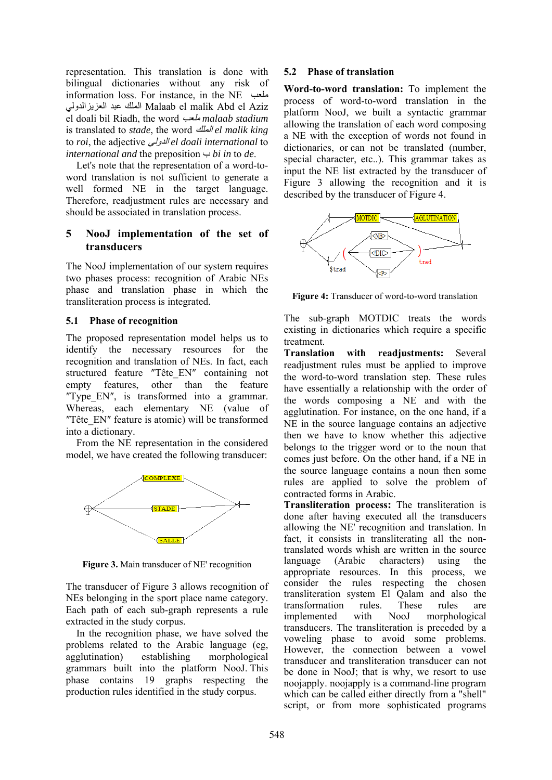representation. This translation is done with bilingual dictionaries without any risk of information loss. For instance, in the NE ملعب العزيزالدولي عبد الملك Malaab el malik Abd el Aziz el doali bil Riadh, the word ملعب *malaab stadium* is translated to *stade*, the word الملك *el malik king*  to *roi*, the adjective الدولي *el doali international* to *international and* the preposition ب *bi in* to *de*.

Let's note that the representation of a word-toword translation is not sufficient to generate a well formed NE in the target language. Therefore, readjustment rules are necessary and should be associated in translation process.

## **5 NooJ implementation of the set of transducers**

The NooJ implementation of our system requires two phases process: recognition of Arabic NEs phase and translation phase in which the transliteration process is integrated.

#### **5.1 Phase of recognition**

The proposed representation model helps us to identify the necessary resources for the recognition and translation of NEs. In fact, each structured feature ″Tête\_EN″ containing not empty features, other than the feature "Type EN", is transformed into a grammar. Whereas, each elementary NE (value of ″Tête\_EN″ feature is atomic) will be transformed into a dictionary.

From the NE representation in the considered model, we have created the following transducer:



**Figure 3.** Main transducer of NE' recognition

The transducer of Figure 3 allows recognition of NEs belonging in the sport place name category. Each path of each sub-graph represents a rule extracted in the study corpus.

In the recognition phase, we have solved the problems related to the Arabic language (eg, agglutination) establishing morphological grammars built into the platform NooJ. This phase contains 19 graphs respecting the production rules identified in the study corpus.

## **5.2 Phase of translation**

**Word-to-word translation:** To implement the process of word-to-word translation in the platform NooJ, we built a syntactic grammar allowing the translation of each word composing a NE with the exception of words not found in dictionaries, or can not be translated (number, special character, etc..). This grammar takes as input the NE list extracted by the transducer of Figure 3 allowing the recognition and it is described by the transducer of Figure 4.



**Figure 4:** Transducer of word-to-word translation

The sub-graph MOTDIC treats the words existing in dictionaries which require a specific treatment.

**Translation with readjustments:** Several readjustment rules must be applied to improve the word-to-word translation step. These rules have essentially a relationship with the order of the words composing a NE and with the agglutination. For instance, on the one hand, if a NE in the source language contains an adjective then we have to know whether this adjective belongs to the trigger word or to the noun that comes just before. On the other hand, if a NE in the source language contains a noun then some rules are applied to solve the problem of contracted forms in Arabic.

**Transliteration process:** The transliteration is done after having executed all the transducers allowing the NE' recognition and translation. In fact, it consists in transliterating all the nontranslated words whish are written in the source language (Arabic characters) using the appropriate resources. In this process, we consider the rules respecting the chosen transliteration system El Qalam and also the transformation rules. These rules are implemented with NooJ morphological transducers. The transliteration is preceded by a voweling phase to avoid some problems. However, the connection between a vowel transducer and transliteration transducer can not be done in NooJ; that is why, we resort to use noojapply. noojapply is a command-line program which can be called either directly from a "shell" script, or from more sophisticated programs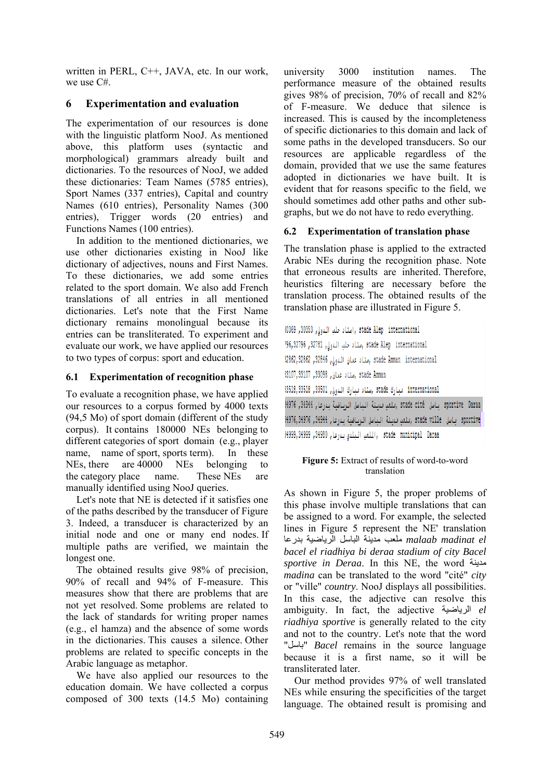written in PERL, C++, JAVA, etc. In our work, we use C#.

## **6 Experimentation and evaluation**

The experimentation of our resources is done with the linguistic platform NooJ. As mentioned above, this platform uses (syntactic and morphological) grammars already built and dictionaries. To the resources of NooJ, we added these dictionaries: Team Names (5785 entries), Sport Names (337 entries), Capital and country Names (610 entries), Personality Names (300 entries), Trigger words (20 entries) and Functions Names (100 entries).

In addition to the mentioned dictionaries, we use other dictionaries existing in NooJ like dictionary of adjectives, nouns and First Names. To these dictionaries, we add some entries related to the sport domain. We also add French translations of all entries in all mentioned dictionaries. Let's note that the First Name dictionary remains monolingual because its entries can be transliterated. To experiment and evaluate our work, we have applied our resources to two types of corpus: sport and education.

## **6.1 Experimentation of recognition phase**

To evaluate a recognition phase, we have applied our resources to a corpus formed by 4000 texts (94,5 Mo) of sport domain (different of the study corpus). It contains 180000 NEs belonging to different categories of sport domain (e.g., player name, name of sport, sports term). In these NEs, there are 40000 NEs belonging to the category place name. These NEs are manually identified using NooJ queries.

Let's note that NE is detected if it satisfies one of the paths described by the transducer of Figure 3. Indeed, a transducer is characterized by an initial node and one or many end nodes. If multiple paths are verified, we maintain the longest one.

The obtained results give 98% of precision, 90% of recall and 94% of F-measure. This measures show that there are problems that are not yet resolved. Some problems are related to the lack of standards for writing proper names (e.g., el hamza) and the absence of some words in the dictionaries. This causes a silence. Other problems are related to specific concepts in the Arabic language as metaphor.

We have also applied our resources to the education domain. We have collected a corpus composed of 300 texts (14.5 Mo) containing

university 3000 institution names. The performance measure of the obtained results gives 98% of precision, 70% of recall and 82% of F-measure. We deduce that silence is increased. This is caused by the incompleteness of specific dictionaries to this domain and lack of some paths in the developed transducers. So our resources are applicable regardless of the domain, provided that we use the same features adopted in dictionaries we have built. It is evident that for reasons specific to the field, we should sometimes add other paths and other subgraphs, but we do not have to redo everything.

## **6.2 Experimentation of translation phase**

The translation phase is applied to the extracted Arabic NEs during the recognition phase. Note that erroneous results are inherited. Therefore, heuristics filtering are necessary before the translation process. The obtained results of the translation phase are illustrated in Figure 5.

stade Alep international , استاد حلب الدولي, 30353, 30369 stade Alep international ,ستاد حلب الدولي, 32781, 96,32796 stade Amman international رستاد عمان الدولي, 32862, 32862, 12862, stade Amman, ستاد عمان, 33098, 33107, 33107 international مبارك stade ,ستاد مبارك الدولي, 33501, 3518, 3518 sportive Daraa - باسل stade cité (ملعب مدينة التاصل الرياضية بدرعاء 34944, 1996 sportive باسل stade ville ,بلغت بنيئة الناسل الرياضية بدرعاء 34944, 34976, 34976 it, stade municipal Daraa (الملعب البلدي بدرعا, 1999,34999, 1999, 1999,

#### **Figure 5:** Extract of results of word-to-word translation

As shown in Figure 5, the proper problems of this phase involve multiple translations that can be assigned to a word. For example, the selected lines in Figure 5 represent the NE' translation  *el madinat malaab* ملعب مدينة الباسل الرياضية بدرعا *bacel el riadhiya bi deraa stadium of city Bacel sportive in Deraa*. In this NE, the word مدينة *madina* can be translated to the word "cité" *city* or "ville" *country*. NooJ displays all possibilities. In this case, the adjective can resolve this ambiguity. In fact, the adjective الرياضية *el riadhiya sportive* is generally related to the city and not to the country. Let's note that the word "باسل "*Bacel* remains in the source language because it is a first name, so it will be transliterated later.

Our method provides 97% of well translated NEs while ensuring the specificities of the target language. The obtained result is promising and